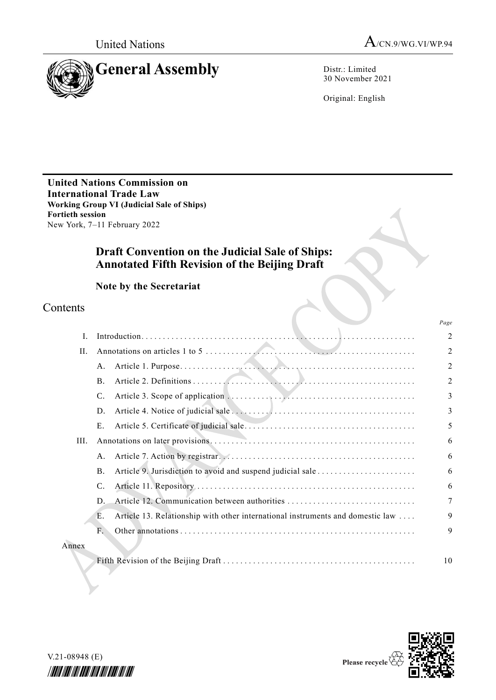

30 November 2021

Original: English

**United Nations Commission on International Trade Law Working Group VI (Judicial Sale of Ships) Fortieth session** New York, 7–11 February 2022

# **Draft Convention on the Judicial Sale of Ships: Annotated Fifth Revision of the Beijing Draft**

**Note by the Secretariat**

# Contents

|       |                                                                                      | Page           |
|-------|--------------------------------------------------------------------------------------|----------------|
| I.    |                                                                                      | $\overline{2}$ |
| H.    |                                                                                      | $\overline{2}$ |
|       | A.                                                                                   | $\overline{2}$ |
|       | $\bf{B}$ .                                                                           | $\overline{2}$ |
|       | C.                                                                                   | 3              |
|       | D.                                                                                   | 3              |
|       | E.                                                                                   | 5              |
| III.  |                                                                                      | 6              |
|       | A.                                                                                   | 6              |
|       | <b>B.</b>                                                                            | 6              |
|       | $\mathcal{C}$ .                                                                      | 6              |
|       | D.                                                                                   | 7              |
|       | Article 13. Relationship with other international instruments and domestic law<br>Е. | 9              |
|       | F.                                                                                   | 9              |
| Annex |                                                                                      |                |
|       |                                                                                      | 10             |



V.21-08948 (E) \*2108948\*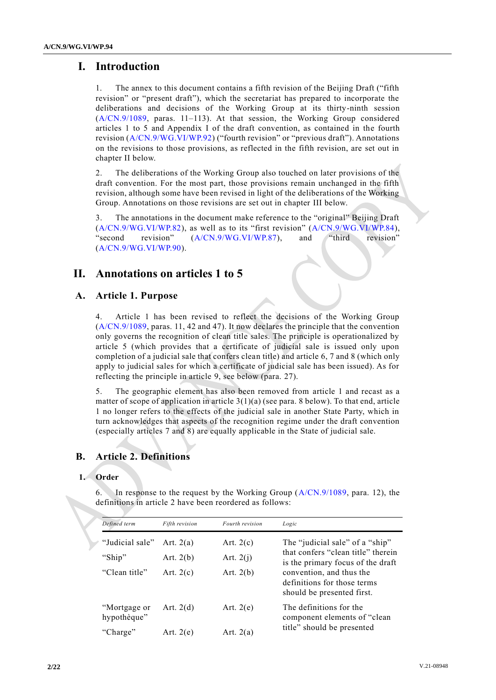# **I. Introduction**

The annex to this document contains a fifth revision of the Beijing Draft ("fifth") revision" or "present draft"), which the secretariat has prepared to incorporate the deliberations and decisions of the Working Group at its thirty-ninth session [\(A/CN.9/1089,](http://undocs.org/A/CN.9/1089) paras. 11–113). At that session, the Working Group considered articles 1 to 5 and Appendix I of the draft convention, as contained in the fourth revision [\(A/CN.9/WG.VI/WP.92\)](http://undocs.org/A/CN.9/WG.VI/WP.92) ("fourth revision" or "previous draft"). Annotations on the revisions to those provisions, as reflected in the fifth revision, are set out in chapter II below.

2. The deliberations of the Working Group also touched on later provisions of the draft convention. For the most part, those provisions remain unchanged in the fifth revision, although some have been revised in light of the deliberations of the Working Group. Annotations on those revisions are set out in chapter III below.

3. The annotations in the document make reference to the "original" Beijing Draft [\(A/CN.9/WG.VI/WP.82\)](http://undocs.org/A/CN.9/WG.VI/WP.82), as well as to its "first revision" [\(A/CN.9/WG.VI/WP.84\)](http://undocs.org/A/CN.9/WG.VI/WP.84), "second revision" [\(A/CN.9/WG.VI/WP.87\)](http://undocs.org/A/CN.9/WG.VI/WP.87), and "third revision" [\(A/CN.9/WG.VI/WP.90\)](http://undocs.org/A/CN.9/WG.VI/WP.90).

# **II. Annotations on articles 1 to 5**

## **A. Article 1. Purpose**

4. Article 1 has been revised to reflect the decisions of the Working Group [\(A/CN.9/1089,](http://undocs.org/A/CN.9/1089) paras. 11, 42 and 47). It now declares the principle that the convention only governs the recognition of clean title sales. The principle is operationalized by article 5 (which provides that a certificate of judicial sale is issued only upon completion of a judicial sale that confers clean title) and article 6, 7 and 8 (which only apply to judicial sales for which a certificate of judicial sale has been issued). As for reflecting the principle in article 9, see below (para. 27).

5. The geographic element has also been removed from article 1 and recast as a matter of scope of application in article  $3(1)(a)$  (see para. 8 below). To that end, article 1 no longer refers to the effects of the judicial sale in another State Party, which in turn acknowledges that aspects of the recognition regime under the draft convention (especially articles 7 and 8) are equally applicable in the State of judicial sale.

# **B. Article 2. Definitions**

## **1. Order**

6. In response to the request by the Working Group [\(A/CN.9/1089,](http://undocs.org/A/CN.9/1089) para. 12), the definitions in article 2 have been reordered as follows:

| Defined term                | Fifth revision | Fourth revision | Logic                                                                                 |  |
|-----------------------------|----------------|-----------------|---------------------------------------------------------------------------------------|--|
| "Judicial sale"             | Art. $2(a)$    | Art. $2(c)$     | The "judicial sale" of a "ship"                                                       |  |
| "Ship"                      | Art. $2(b)$    | Art. $2(i)$     | that confers "clean title" therein<br>is the primary focus of the draft               |  |
| "Clean title"               | Art. $2(c)$    | Art. $2(b)$     | convention, and thus the<br>definitions for those terms<br>should be presented first. |  |
| "Mortgage or<br>hypothèque" | Art. $2(d)$    | Art. $2(e)$     | The definitions for the<br>component elements of "clean"                              |  |
| "Charge"                    | Art. $2(e)$    | Art. $2(a)$     | title" should be presented                                                            |  |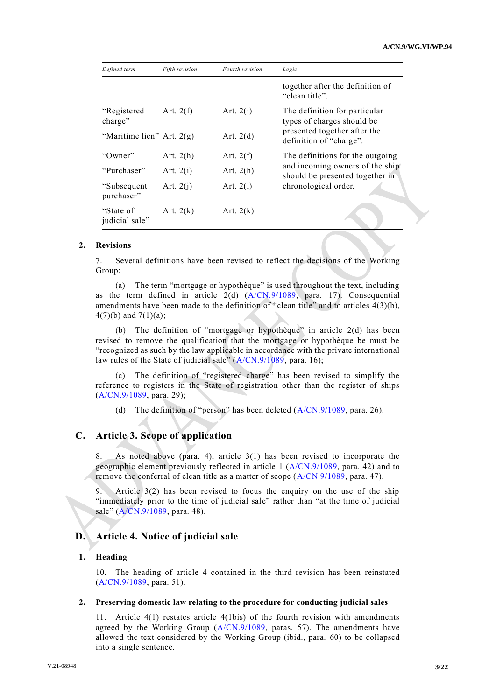| Defined term                | Fifth revision | Fourth revision | Logic                                                              |
|-----------------------------|----------------|-----------------|--------------------------------------------------------------------|
|                             |                |                 | together after the definition of<br>"clean title".                 |
| "Registered"<br>charge"     | Art. $2(f)$    | Art. $2(i)$     | The definition for particular<br>types of charges should be        |
| "Maritime lien" Art. $2(g)$ |                | Art. $2(d)$     | presented together after the<br>definition of "charge".            |
| "Owner"                     | Art. $2(h)$    | Art. $2(f)$     | The definitions for the outgoing                                   |
| "Purchaser"                 | Art. $2(i)$    | Art. $2(h)$     | and incoming owners of the ship<br>should be presented together in |
| "Subsequent"<br>purchaser"  | Art. $2(i)$    | Art. $2(1)$     | chronological order.                                               |
| "State of<br>judicial sale" | Art. $2(k)$    | Art. $2(k)$     |                                                                    |

## **2. Revisions**

7. Several definitions have been revised to reflect the decisions of the Working Group:

(a) The term "mortgage or hypothèque" is used throughout the text, including as the term defined in article 2(d) [\(A/CN.9/1089,](http://undocs.org/A/CN.9/1089) para. 17). Consequential amendments have been made to the definition of "clean title" and to articles 4(3)(b),  $4(7)(b)$  and  $7(1)(a)$ ;

(b) The definition of "mortgage or hypothèque" in article 2(d) has been revised to remove the qualification that the mortgage or hypothèque be must be "recognized as such by the law applicable in accordance with the private international law rules of the State of judicial sale" [\(A/CN.9/1089,](http://undocs.org/A/CN.9/1089) para. 16);

(c) The definition of "registered charge" has been revised to simplify the reference to registers in the State of registration other than the register of ships [\(A/CN.9/1089,](http://undocs.org/A/CN.9/1089) para. 29);

(d) The definition of "person" has been deleted [\(A/CN.9/1089,](http://undocs.org/A/CN.9/1089) para. 26).

## **C. Article 3. Scope of application**

8. As noted above (para. 4), article 3(1) has been revised to incorporate the geographic element previously reflected in article 1 [\(A/CN.9/1089,](http://undocs.org/A/CN.9/1089) para. 42) and to remove the conferral of clean title as a matter of scope [\(A/CN.9/1089,](http://undocs.org/A/CN.9/1089) para. 47).

9. Article 3(2) has been revised to focus the enquiry on the use of the ship "immediately prior to the time of judicial sale" rather than "at the time of judicial sale" [\(A/CN.9/1089,](http://undocs.org/A/CN.9/1089) para. 48).

## **D. Article 4. Notice of judicial sale**

### **1. Heading**

10. The heading of article 4 contained in the third revision has been reinstated [\(A/CN.9/1089,](http://undocs.org/A/CN.9/1089) para. 51).

#### **2. Preserving domestic law relating to the procedure for conducting judicial sales**

11. Article 4(1) restates article 4(1bis) of the fourth revision with amendments agreed by the Working Group [\(A/CN.9/1089,](http://undocs.org/A/CN.9/1089) paras. 57). The amendments have allowed the text considered by the Working Group (ibid., para. 60) to be collapsed into a single sentence.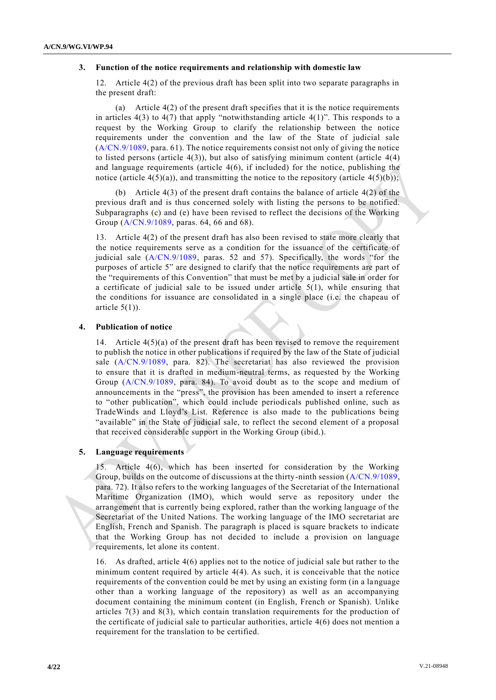### **3. Function of the notice requirements and relationship with domestic law**

12. Article 4(2) of the previous draft has been split into two separate paragraphs in the present draft:

(a) Article 4(2) of the present draft specifies that it is the notice requirements in articles  $4(3)$  to  $4(7)$  that apply "notwithstanding article  $4(1)$ ". This responds to a request by the Working Group to clarify the relationship between the notice requirements under the convention and the law of the State of judicial sale [\(A/CN.9/1089,](http://undocs.org/A/CN.9/1089) para. 61). The notice requirements consist not only of giving the notice to listed persons (article  $4(3)$ ), but also of satisfying minimum content (article  $4(4)$ ) and language requirements (article 4(6), if included) for the notice, publishing the notice (article  $4(5)(a)$ ), and transmitting the notice to the repository (article  $4(5)(b)$ );

(b) Article 4(3) of the present draft contains the balance of article 4(2) of the previous draft and is thus concerned solely with listing the persons to be notified. Subparagraphs (c) and (e) have been revised to reflect the decisions of the Working Group [\(A/CN.9/1089,](http://undocs.org/A/CN.9/1089) paras. 64, 66 and 68).

13. Article 4(2) of the present draft has also been revised to state more clearly that the notice requirements serve as a condition for the issuance of the certificate of judicial sale [\(A/CN.9/1089,](http://undocs.org/A/CN.9/1089) paras. 52 and 57). Specifically, the words "for the purposes of article 5" are designed to clarify that the notice requirements are part of the "requirements of this Convention" that must be met by a judicial sale in order for a certificate of judicial sale to be issued under article  $5(1)$ , while ensuring that the conditions for issuance are consolidated in a single place (i.e. the chapeau of article  $5(1)$ ).

### **4. Publication of notice**

14. Article 4(5)(a) of the present draft has been revised to remove the requirement to publish the notice in other publications if required by the law of the State of judicial sale  $(A/CN.9/1089, \text{ para. } 82)$  $(A/CN.9/1089, \text{ para. } 82)$ . The secretariat has also reviewed the provision to ensure that it is drafted in medium-neutral terms, as requested by the Working Group [\(A/CN.9/1089,](http://undocs.org/A/CN.9/1089) para. 84). To avoid doubt as to the scope and medium of announcements in the "press", the provision has been amended to insert a reference to "other publication", which could include periodicals published online, such as TradeWinds and Lloyd's List. Reference is also made to the publications being "available" in the State of judicial sale, to reflect the second element of a proposal that received considerable support in the Working Group (ibid.).

### **5. Language requirements**

15. Article 4(6), which has been inserted for consideration by the Working Group, builds on the outcome of discussions at the thirty-ninth session [\(A/CN.9/1089,](http://undocs.org/A/CN.9/1089) para. 72). It also refers to the working languages of the Secretariat of the International Maritime Organization (IMO), which would serve as repository under the arrangement that is currently being explored, rather than the working language of the Secretariat of the United Nations. The working language of the IMO secretariat are English, French and Spanish. The paragraph is placed is square brackets to indicate that the Working Group has not decided to include a provision on language requirements, let alone its content.

16. As drafted, article 4(6) applies not to the notice of judicial sale but rather to the minimum content required by article 4(4). As such, it is conceivable that the notice requirements of the convention could be met by using an existing form (in a language other than a working language of the repository) as well as an accompanying document containing the minimum content (in English, French or Spanish). Unlike articles  $7(3)$  and  $8(3)$ , which contain translation requirements for the production of the certificate of judicial sale to particular authorities, article 4(6) does not mention a requirement for the translation to be certified.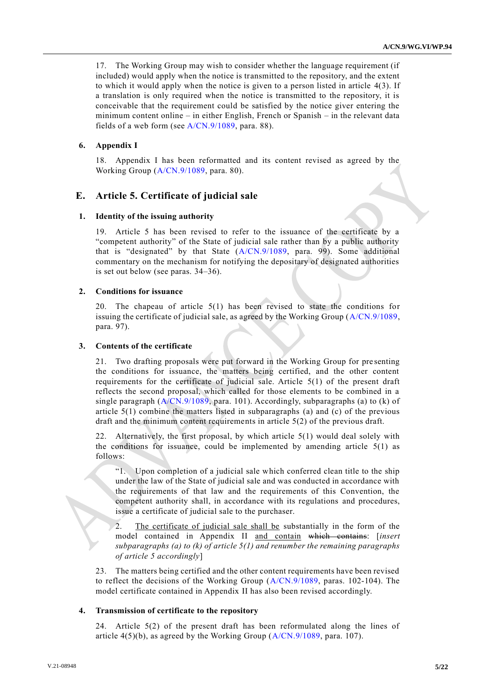17. The Working Group may wish to consider whether the language requirement (if included) would apply when the notice is transmitted to the repository, and the extent to which it would apply when the notice is given to a person listed in article 4(3). If a translation is only required when the notice is transmitted to the repository, it is conceivable that the requirement could be satisfied by the notice giver entering the minimum content online – in either English, French or Spanish – in the relevant data fields of a web form (see [A/CN.9/1089,](http://undocs.org/A/CN.9/1089) para. 88).

### **6. Appendix I**

18. Appendix I has been reformatted and its content revised as agreed by the Working Group [\(A/CN.9/1089,](http://undocs.org/A/CN.9/1089) para. 80).

## **E. Article 5. Certificate of judicial sale**

#### **1. Identity of the issuing authority**

19. Article 5 has been revised to refer to the issuance of the certificate by a "competent authority" of the State of judicial sale rather than by a public authority that is "designated" by that State [\(A/CN.9/1089,](http://undocs.org/A/CN.9/1089) para. 99). Some additional commentary on the mechanism for notifying the depositary of designated authorities is set out below (see paras. 34–36).

#### **2. Conditions for issuance**

20. The chapeau of article 5(1) has been revised to state the conditions for issuing the certificate of judicial sale, as agreed by the Working Group [\(A/CN.9/1089,](http://undocs.org/A/CN.9/1089) para. 97).

## **3. Contents of the certificate**

21. Two drafting proposals were put forward in the Working Group for pre senting the conditions for issuance, the matters being certified, and the other content requirements for the certificate of judicial sale. Article 5(1) of the present draft reflects the second proposal, which called for those elements to be combined in a single paragraph  $(A/CN.9/1089,$  para. 101). Accordingly, subparagraphs (a) to (k) of article  $5(1)$  combine the matters listed in subparagraphs (a) and (c) of the previous draft and the minimum content requirements in article 5(2) of the previous draft.

22. Alternatively, the first proposal, by which article 5(1) would deal solely with the conditions for issuance, could be implemented by amending article  $5(1)$  as follows:

"1. Upon completion of a judicial sale which conferred clean title to the ship under the law of the State of judicial sale and was conducted in accordance with the requirements of that law and the requirements of this Convention, the competent authority shall, in accordance with its regulations and procedures, issue a certificate of judicial sale to the purchaser.

2. The certificate of judicial sale shall be substantially in the form of the model contained in Appendix II and contain which contains: [*insert subparagraphs (a) to (k) of article 5(1) and renumber the remaining paragraphs of article 5 accordingly*]

23. The matters being certified and the other content requirements have been revised to reflect the decisions of the Working Group  $(A/CN.9/1089, \text{ paras. } 102-104)$  $(A/CN.9/1089, \text{ paras. } 102-104)$ . The model certificate contained in Appendix II has also been revised accordingly.

#### **4. Transmission of certificate to the repository**

24. Article 5(2) of the present draft has been reformulated along the lines of article  $4(5)(b)$ , as agreed by the Working Group  $(A/CN.9/1089, \text{para. } 107)$  $(A/CN.9/1089, \text{para. } 107)$ .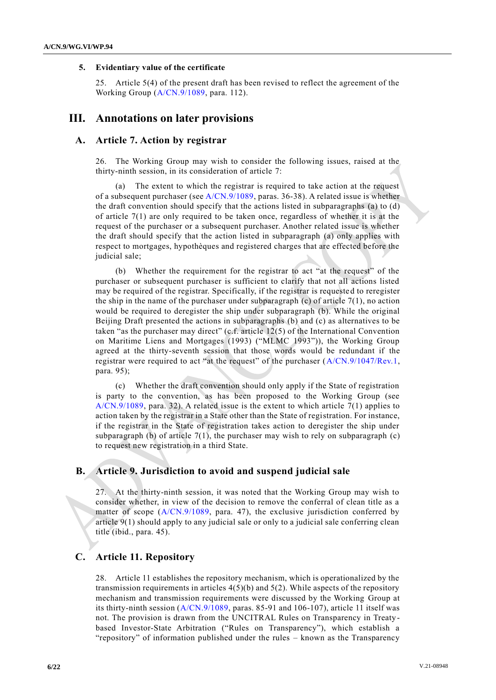### **5. Evidentiary value of the certificate**

25. Article 5(4) of the present draft has been revised to reflect the agreement of the Working Group [\(A/CN.9/1089,](http://undocs.org/A/CN.9/1089) para. 112).

## **III. Annotations on later provisions**

## **A. Article 7. Action by registrar**

26. The Working Group may wish to consider the following issues, raised at the thirty-ninth session, in its consideration of article 7:

(a) The extent to which the registrar is required to take action at the request of a subsequent purchaser (see [A/CN.9/1089,](http://undocs.org/A/CN.9/1089) paras. 36-38). A related issue is whether the draft convention should specify that the actions listed in subparagraphs (a) to (d) of article  $7(1)$  are only required to be taken once, regardless of whether it is at the request of the purchaser or a subsequent purchaser. Another related issue is whether the draft should specify that the action listed in subparagraph (a) only applies with respect to mortgages, hypothèques and registered charges that are effected before the judicial sale;

(b) Whether the requirement for the registrar to act "at the request" of the purchaser or subsequent purchaser is sufficient to clarify that not all actions listed may be required of the registrar. Specifically, if the registrar is requested to reregister the ship in the name of the purchaser under subparagraph (c) of article  $7(1)$ , no action would be required to deregister the ship under subparagraph (b). While the original Beijing Draft presented the actions in subparagraphs (b) and (c) as alternatives to be taken "as the purchaser may direct" (c.f. article 12(5) of the International Convention on Maritime Liens and Mortgages (1993) ("MLMC 1993")), the Working Group agreed at the thirty-seventh session that those words would be redundant if the registrar were required to act "at the request" of the purchaser [\(A/CN.9/1047/Rev.1,](http://undocs.org/A/CN.9/1047/Rev.1) para. 95);

(c) Whether the draft convention should only apply if the State of registration is party to the convention, as has been proposed to the Working Group (see [A/CN.9/1089,](http://undocs.org/A/CN.9/1089) para. 32). A related issue is the extent to which article 7(1) applies to action taken by the registrar in a State other than the State of registration. For instance, if the registrar in the State of registration takes action to deregister the ship under subparagraph (b) of article  $7(1)$ , the purchaser may wish to rely on subparagraph (c) to request new registration in a third State.

## **B. Article 9. Jurisdiction to avoid and suspend judicial sale**

27. At the thirty-ninth session, it was noted that the Working Group may wish to consider whether, in view of the decision to remove the conferral of clean title as a matter of scope [\(A/CN.9/1089,](http://undocs.org/A/CN.9/1089) para. 47), the exclusive jurisdiction conferred by article 9(1) should apply to any judicial sale or only to a judicial sale conferring clean title (ibid., para. 45).

## **C. Article 11. Repository**

28. Article 11 establishes the repository mechanism, which is operationalized by the transmission requirements in articles  $4(5)(b)$  and  $5(2)$ . While aspects of the repository mechanism and transmission requirements were discussed by the Working Group at its thirty-ninth session [\(A/CN.9/1089,](http://undocs.org/A/CN.9/1089) paras. 85-91 and 106-107), article 11 itself was not. The provision is drawn from the UNCITRAL Rules on Transparency in Treaty based Investor-State Arbitration ("Rules on Transparency"), which establish a "repository" of information published under the rules – known as the Transparency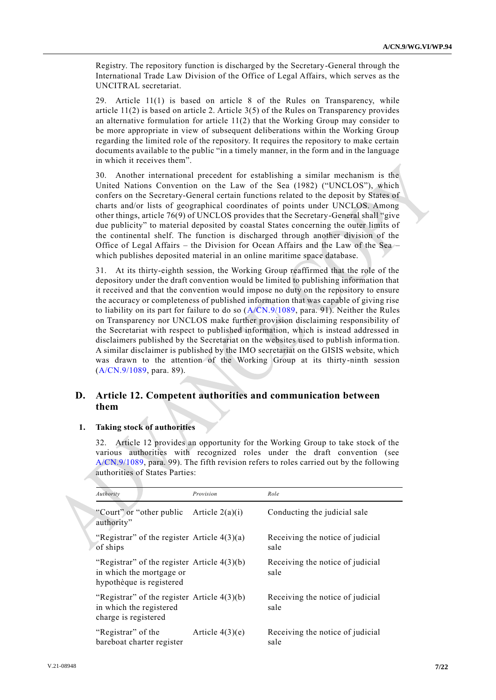Registry. The repository function is discharged by the Secretary-General through the International Trade Law Division of the Office of Legal Affairs, which serves as the UNCITRAL secretariat.

29. Article 11(1) is based on article 8 of the Rules on Transparency, while article  $11(2)$  is based on article 2. Article  $3(5)$  of the Rules on Transparency provides an alternative formulation for article  $11(2)$  that the Working Group may consider to be more appropriate in view of subsequent deliberations within the Working Group regarding the limited role of the repository. It requires the repository to make certain documents available to the public "in a timely manner, in the form and in the language in which it receives them".

30. Another international precedent for establishing a similar mechanism is the United Nations Convention on the Law of the Sea (1982) ("UNCLOS"), which confers on the Secretary-General certain functions related to the deposit by States of charts and/or lists of geographical coordinates of points under UNCLOS. Among other things, article 76(9) of UNCLOS provides that the Secretary-General shall "give due publicity" to material deposited by coastal States concerning the outer limits of the continental shelf. The function is discharged through another division of the Office of Legal Affairs – the Division for Ocean Affairs and the Law of the Sea – which publishes deposited material in an online maritime space database.

31. At its thirty-eighth session, the Working Group reaffirmed that the role of the depository under the draft convention would be limited to publishing information that it received and that the convention would impose no duty on the repository to ensure the accuracy or completeness of published information that was capable of giving rise to liability on its part for failure to do so  $(A/CN.9/1089, \text{ para. } 91)$  $(A/CN.9/1089, \text{ para. } 91)$ . Neither the Rules on Transparency nor UNCLOS make further provision disclaiming responsibility of the Secretariat with respect to published information, which is instead addressed in disclaimers published by the Secretariat on the websites used to publish informa tion. A similar disclaimer is published by the IMO secretariat on the GISIS website, which was drawn to the attention of the Working Group at its thirty-ninth session [\(A/CN.9/1089,](http://undocs.org/A/CN.9/1089) para. 89).

## **D. Article 12. Competent authorities and communication between them**

## **1. Taking stock of authorities**

32. Article 12 provides an opportunity for the Working Group to take stock of the various authorities with recognized roles under the draft convention (see [A/CN.9/1089,](http://undocs.org/A/CN.9/1089) para. 99). The fifth revision refers to roles carried out by the following authorities of States Parties:

| Authority                                                                                             | Provision         | Role                                     |
|-------------------------------------------------------------------------------------------------------|-------------------|------------------------------------------|
| "Court" or "other public"<br>authority"                                                               | Article $2(a)(i)$ | Conducting the judicial sale             |
| "Registrar" of the register Article $4(3)(a)$<br>of ships                                             |                   | Receiving the notice of judicial<br>sale |
| "Registrar" of the register Article $4(3)(b)$<br>in which the mortgage or<br>hypothèque is registered |                   | Receiving the notice of judicial<br>sale |
| "Registrar" of the register Article $4(3)(b)$<br>in which the registered<br>charge is registered      |                   | Receiving the notice of judicial<br>sale |
| "Registrar" of the<br>bareboat charter register                                                       | Article $4(3)(e)$ | Receiving the notice of judicial<br>sale |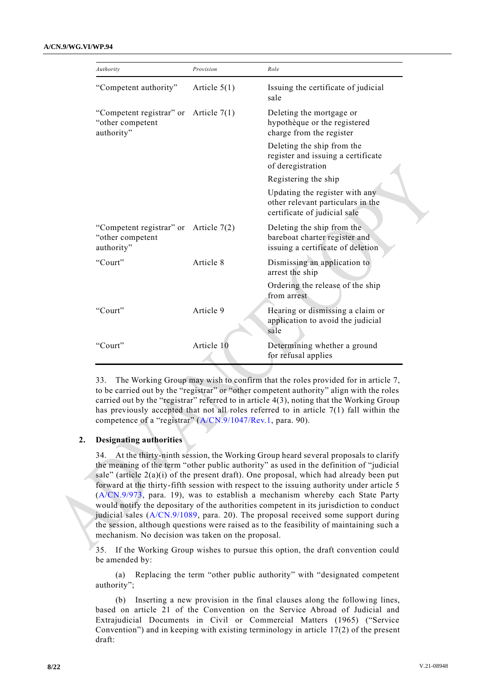| Authority                                                                 | Provision      | Role                                                                                                |
|---------------------------------------------------------------------------|----------------|-----------------------------------------------------------------------------------------------------|
| "Competent authority"                                                     | Article $5(1)$ | Issuing the certificate of judicial<br>sale                                                         |
| "Competent registrar" or Article $7(1)$<br>"other competent<br>authority" |                | Deleting the mortgage or<br>hypothèque or the registered<br>charge from the register                |
|                                                                           |                | Deleting the ship from the<br>register and issuing a certificate<br>of deregistration               |
|                                                                           |                | Registering the ship                                                                                |
|                                                                           |                | Updating the register with any<br>other relevant particulars in the<br>certificate of judicial sale |
| "Competent registrar" or Article $7(2)$<br>"other competent<br>authority" |                | Deleting the ship from the<br>bareboat charter register and<br>issuing a certificate of deletion    |
| "Court"                                                                   | Article 8      | Dismissing an application to<br>arrest the ship                                                     |
|                                                                           |                | Ordering the release of the ship<br>from arrest                                                     |
| "Court"                                                                   | Article 9      | Hearing or dismissing a claim or<br>application to avoid the judicial<br>sale                       |
| "Court"                                                                   | Article 10     | Determining whether a ground<br>for refusal applies                                                 |

33. The Working Group may wish to confirm that the roles provided for in article 7, to be carried out by the "registrar" or "other competent authority" align with the roles carried out by the "registrar" referred to in article 4(3), noting that the Working Group has previously accepted that not all roles referred to in article 7(1) fall within the competence of a "registrar" [\(A/CN.9/1047/Rev.1,](http://undocs.org/A/CN.9/1047/Rev.1) para. 90).

## **2. Designating authorities**

34. At the thirty-ninth session, the Working Group heard several proposals to clarify the meaning of the term "other public authority" as used in the definition of "judicial sale" (article  $2(a)(i)$  of the present draft). One proposal, which had already been put forward at the thirty-fifth session with respect to the issuing authority under article 5 [\(A/CN.9/973,](http://undocs.org/A/CN.9/973) para. 19), was to establish a mechanism whereby each State Party would notify the depositary of the authorities competent in its jurisdiction to conduct judicial sales  $(A/CN.9/1089, \text{ para. } 20)$  $(A/CN.9/1089, \text{ para. } 20)$ . The proposal received some support during the session, although questions were raised as to the feasibility of maintaining such a mechanism. No decision was taken on the proposal.

35. If the Working Group wishes to pursue this option, the draft convention could be amended by:

(a) Replacing the term "other public authority" with "designated competent authority";

(b) Inserting a new provision in the final clauses along the following lines, based on article 21 of the Convention on the Service Abroad of Judicial and Extrajudicial Documents in Civil or Commercial Matters (1965) ("Service Convention") and in keeping with existing terminology in article 17(2) of the present draft: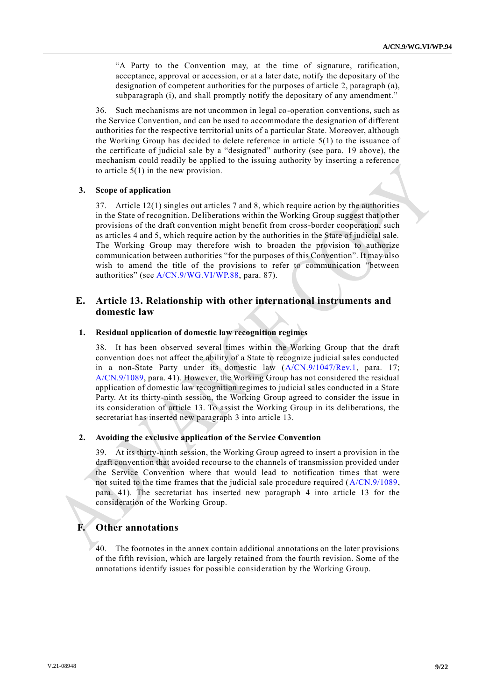"A Party to the Convention may, at the time of signature, ratification, acceptance, approval or accession, or at a later date, notify the depositary of the designation of competent authorities for the purposes of article 2, paragraph (a), subparagraph (i), and shall promptly notify the depositary of any amendment."

36. Such mechanisms are not uncommon in legal co-operation conventions, such as the Service Convention, and can be used to accommodate the designation of different authorities for the respective territorial units of a particular State. Moreover, although the Working Group has decided to delete reference in article 5(1) to the issuance of the certificate of judicial sale by a "designated" authority (see para. 19 above), the mechanism could readily be applied to the issuing authority by inserting a reference to article 5(1) in the new provision.

### **3. Scope of application**

37. Article 12(1) singles out articles 7 and 8, which require action by the authorities in the State of recognition. Deliberations within the Working Group suggest that other provisions of the draft convention might benefit from cross-border cooperation, such as articles 4 and 5, which require action by the authorities in the State of judicial sale. The Working Group may therefore wish to broaden the provision to authorize communication between authorities "for the purposes of this Convention". It may also wish to amend the title of the provisions to refer to communication "between authorities" (see [A/CN.9/WG.VI/WP.88,](http://undocs.org/A/CN.9/WG.VI/WP.88) para. 87).

## **E. Article 13. Relationship with other international instruments and domestic law**

## **1. Residual application of domestic law recognition regimes**

38. It has been observed several times within the Working Group that the draft convention does not affect the ability of a State to recognize judicial sales conducted in a non-State Party under its domestic law [\(A/CN.9/1047/Rev.1,](http://undocs.org/A/CN.9/1047/Rev.1) para. 17; [A/CN.9/1089,](http://undocs.org/A/CN.9/1089) para. 41). However, the Working Group has not considered the residual application of domestic law recognition regimes to judicial sales conducted in a State Party. At its thirty-ninth session, the Working Group agreed to consider the issue in its consideration of article 13. To assist the Working Group in its deliberations, the secretariat has inserted new paragraph 3 into article 13.

### **2. Avoiding the exclusive application of the Service Convention**

39. At its thirty-ninth session, the Working Group agreed to insert a provision in the draft convention that avoided recourse to the channels of transmission provided under the Service Convention where that would lead to notification times that were not suited to the time frames that the judicial sale procedure required [\(A/CN.9/1089,](http://undocs.org/A/CN.9/1089) para. 41). The secretariat has inserted new paragraph 4 into article 13 for the consideration of the Working Group.

## **F. Other annotations**

The footnotes in the annex contain additional annotations on the later provisions of the fifth revision, which are largely retained from the fourth revision. Some of the annotations identify issues for possible consideration by the Working Group.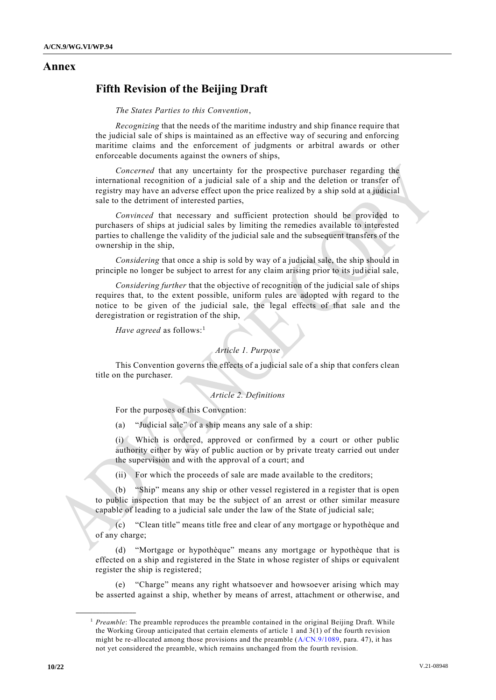## **Annex**

# **Fifth Revision of the Beijing Draft**

*The States Parties to this Convention*,

*Recognizing* that the needs of the maritime industry and ship finance require that the judicial sale of ships is maintained as an effective way of securing and enforcing maritime claims and the enforcement of judgments or arbitral awards or other enforceable documents against the owners of ships,

*Concerned* that any uncertainty for the prospective purchaser regarding the international recognition of a judicial sale of a ship and the deletion or transfer of registry may have an adverse effect upon the price realized by a ship sold at a judicial sale to the detriment of interested parties,

*Convinced* that necessary and sufficient protection should be provided to purchasers of ships at judicial sales by limiting the remedies available to interested parties to challenge the validity of the judicial sale and the subsequent transfers of the ownership in the ship,

*Considering* that once a ship is sold by way of a judicial sale, the ship should in principle no longer be subject to arrest for any claim arising prior to its jud icial sale,

*Considering further* that the objective of recognition of the judicial sale of ships requires that, to the extent possible, uniform rules are adopted with regard to the notice to be given of the judicial sale, the legal effects of that sale and the deregistration or registration of the ship,

*Have agreed* as follows:<sup>1</sup>

### *Article 1. Purpose*

This Convention governs the effects of a judicial sale of a ship that confers clean title on the purchaser.

## *Article 2. Definitions*

For the purposes of this Convention:

(a) "Judicial sale" of a ship means any sale of a ship:

(i) Which is ordered, approved or confirmed by a court or other public authority either by way of public auction or by private treaty carried out under the supervision and with the approval of a court; and

(ii) For which the proceeds of sale are made available to the creditors;

(b) "Ship" means any ship or other vessel registered in a register that is open to public inspection that may be the subject of an arrest or other similar measure capable of leading to a judicial sale under the law of the State of judicial sale;

(c) "Clean title" means title free and clear of any mortgage or hypothèque and of any charge;

(d) "Mortgage or hypothèque" means any mortgage or hypothèque that is effected on a ship and registered in the State in whose register of ships or equivalent register the ship is registered;

(e) "Charge" means any right whatsoever and howsoever arising which may be asserted against a ship, whether by means of arrest, attachment or otherwise, and

<sup>&</sup>lt;sup>1</sup> Preamble: The preamble reproduces the preamble contained in the original Beijing Draft. While the Working Group anticipated that certain elements of article 1 and 3(1) of the fourth revision might be re-allocated among those provisions and the preamble [\(A/CN.9/1089,](http://undocs.org/A/CN.9/1089) para. 47), it has not yet considered the preamble, which remains unchanged from the fourth revision.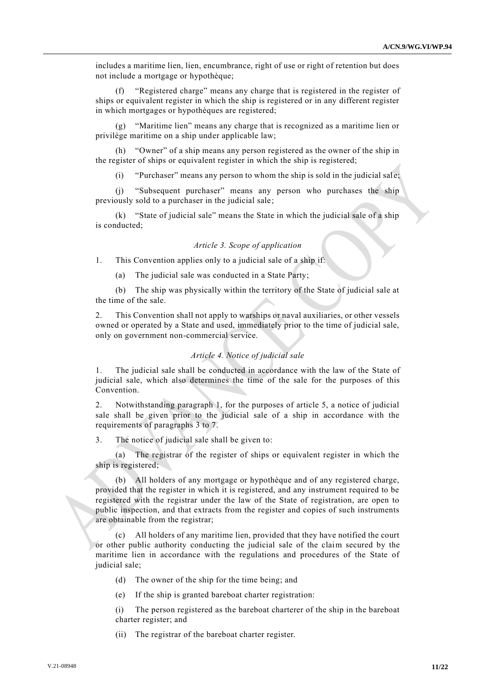includes a maritime lien, lien, encumbrance, right of use or right of retention but does not include a mortgage or hypothèque;

(f) "Registered charge" means any charge that is registered in the register of ships or equivalent register in which the ship is registered or in any different register in which mortgages or hypothèques are registered;

(g) "Maritime lien" means any charge that is recognized as a maritime lien or privilège maritime on a ship under applicable law;

(h) "Owner" of a ship means any person registered as the owner of the ship in the register of ships or equivalent register in which the ship is registered;

(i) "Purchaser" means any person to whom the ship is sold in the judicial sale;

"Subsequent purchaser" means any person who purchases the ship previously sold to a purchaser in the judicial sale;

(k) "State of judicial sale" means the State in which the judicial sale of a ship is conducted;

#### *Article 3. Scope of application*

1. This Convention applies only to a judicial sale of a ship if:

(a) The judicial sale was conducted in a State Party;

(b) The ship was physically within the territory of the State of judicial sale at the time of the sale.

2. This Convention shall not apply to warships or naval auxiliaries, or other vessels owned or operated by a State and used, immediately prior to the time of judicial sale, only on government non-commercial service.

#### *Article 4. Notice of judicial sale*

1. The judicial sale shall be conducted in accordance with the law of the State of judicial sale, which also determines the time of the sale for the purposes of this Convention.

2. Notwithstanding paragraph 1, for the purposes of article 5, a notice of judicial sale shall be given prior to the judicial sale of a ship in accordance with the requirements of paragraphs 3 to 7.

3. The notice of judicial sale shall be given to:

(a) The registrar of the register of ships or equivalent register in which the ship is registered;

(b) All holders of any mortgage or hypothèque and of any registered charge, provided that the register in which it is registered, and any instrument required to be registered with the registrar under the law of the State of registration, are open to public inspection, and that extracts from the register and copies of such instruments are obtainable from the registrar;

(c) All holders of any maritime lien, provided that they have notified the court or other public authority conducting the judicial sale of the claim secured by the maritime lien in accordance with the regulations and procedures of the State of judicial sale;

(d) The owner of the ship for the time being; and

(e) If the ship is granted bareboat charter registration:

(i) The person registered as the bareboat charterer of the ship in the bareboat charter register; and

(ii) The registrar of the bareboat charter register.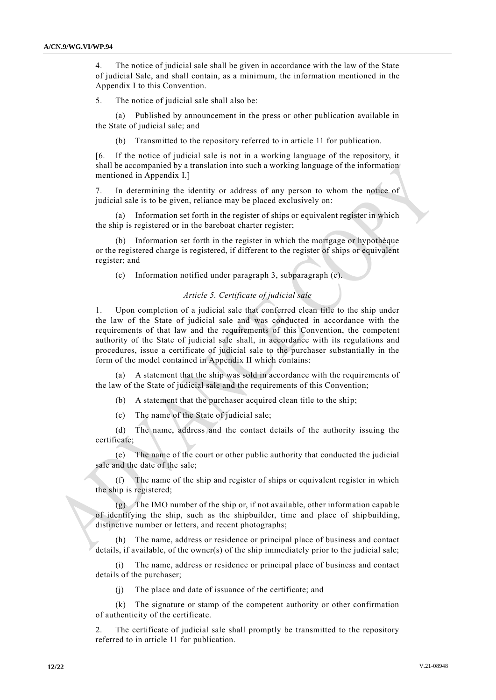4. The notice of judicial sale shall be given in accordance with the law of the State of judicial Sale, and shall contain, as a minimum, the information mentioned in the Appendix I to this Convention.

5. The notice of judicial sale shall also be:

(a) Published by announcement in the press or other publication available in the State of judicial sale; and

(b) Transmitted to the repository referred to in article 11 for publication.

[6. If the notice of judicial sale is not in a working language of the repository, it shall be accompanied by a translation into such a working language of the information mentioned in Appendix I.]

In determining the identity or address of any person to whom the notice of judicial sale is to be given, reliance may be placed exclusively on:

(a) Information set forth in the register of ships or equivalent register in which the ship is registered or in the bareboat charter register;

(b) Information set forth in the register in which the mortgage or hypothèque or the registered charge is registered, if different to the register of ships or equivalent register; and

(c) Information notified under paragraph 3, subparagraph (c).

## *Article 5. Certificate of judicial sale*

1. Upon completion of a judicial sale that conferred clean title to the ship under the law of the State of judicial sale and was conducted in accordance with the requirements of that law and the requirements of this Convention, the competent authority of the State of judicial sale shall, in accordance with its regulations and procedures, issue a certificate of judicial sale to the purchaser substantially in the form of the model contained in Appendix II which contains:

A statement that the ship was sold in accordance with the requirements of the law of the State of judicial sale and the requirements of this Convention;

(b) A statement that the purchaser acquired clean title to the ship;

(c) The name of the State of judicial sale;

(d) The name, address and the contact details of the authority issuing the certificate;

(e) The name of the court or other public authority that conducted the judicial sale and the date of the sale;

(f) The name of the ship and register of ships or equivalent register in which the ship is registered;

(g) The IMO number of the ship or, if not available, other information capable of identifying the ship, such as the shipbuilder, time and place of ship building, distinctive number or letters, and recent photographs;

(h) The name, address or residence or principal place of business and contact details, if available, of the owner(s) of the ship immediately prior to the judicial sale;

(i) The name, address or residence or principal place of business and contact details of the purchaser;

(j) The place and date of issuance of the certificate; and

(k) The signature or stamp of the competent authority or other confirmation of authenticity of the certificate.

2. The certificate of judicial sale shall promptly be transmitted to the repository referred to in article 11 for publication.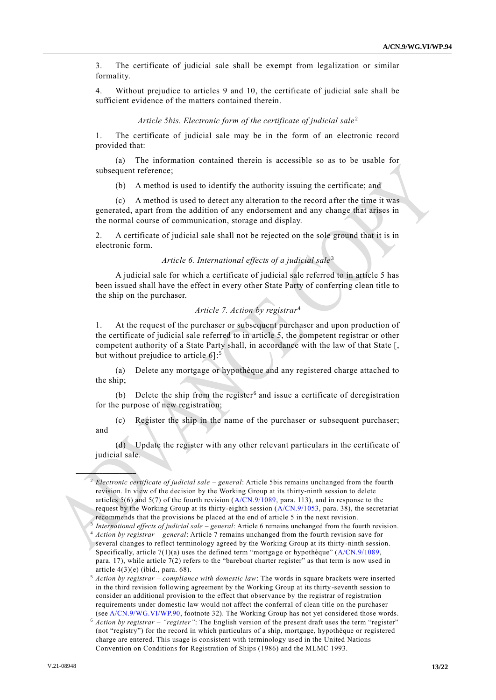3. The certificate of judicial sale shall be exempt from legalization or similar formality.

4. Without prejudice to articles 9 and 10, the certificate of judicial sale shall be sufficient evidence of the matters contained therein.

#### *Article 5bis. Electronic form of the certificate of judicial sale*<sup>2</sup>

1. The certificate of judicial sale may be in the form of an electronic record provided that:

(a) The information contained therein is accessible so as to be usable for subsequent reference;

(b) A method is used to identify the authority issuing the certificate; and

(c) A method is used to detect any alteration to the record after the time it was generated, apart from the addition of any endorsement and any change that arises in the normal course of communication, storage and display.

2. A certificate of judicial sale shall not be rejected on the sole ground that it is in electronic form.

### *Article 6. International effects of a judicial sale*<sup>3</sup>

A judicial sale for which a certificate of judicial sale referred to in article 5 has been issued shall have the effect in every other State Party of conferring clean title to the ship on the purchaser.

## *Article 7. Action by registrar*<sup>4</sup>

1. At the request of the purchaser or subsequent purchaser and upon production of the certificate of judicial sale referred to in article 5, the competent registrar or other competent authority of a State Party shall, in accordance with the law of that State [, but without prejudice to article 6]:<sup>5</sup>

(a) Delete any mortgage or hypothèque and any registered charge attached to the ship;

(b) Delete the ship from the register<sup>6</sup> and issue a certificate of deregistration for the purpose of new registration;

(c) Register the ship in the name of the purchaser or subsequent purchaser; and

(d) Update the register with any other relevant particulars in the certificate of judicial sale.

<sup>2</sup> *Electronic certificate of judicial sale – general*: Article 5bis remains unchanged from the fourth revision. In view of the decision by the Working Group at its thirty-ninth session to delete articles  $5(6)$  and  $5(7)$  of the fourth revision  $(A/CN.9/1089, \text{ para. } 113)$  $(A/CN.9/1089, \text{ para. } 113)$ , and in response to the request by the Working Group at its thirty-eighth session [\(A/CN.9/1053,](http://undocs.org/A/CN.9/1053) para. 38), the secretariat recommends that the provisions be placed at the end of article 5 in the next revision.

<sup>3</sup> *International effects of judicial sale – general*: Article 6 remains unchanged from the fourth revision.

<sup>4</sup> *Action by registrar – general*: Article 7 remains unchanged from the fourth revision save for several changes to reflect terminology agreed by the Working Group at its thirty-ninth session. Specifically, article  $7(1)(a)$  uses the defined term "mortgage or hypothèque" [\(A/CN.9/1089,](http://undocs.org/A/CN.9/1089) para. 17), while article 7(2) refers to the "bareboat charter register" as that term is now used in article  $4(3)(e)$  (ibid., para. 68).

<sup>5</sup> *Action by registrar – compliance with domestic law*: The words in square brackets were inserted in the third revision following agreement by the Working Group at its thirty -seventh session to consider an additional provision to the effect that observance by the registrar of registration requirements under domestic law would not affect the conferral of clean title on the purchaser (se[e A/CN.9/WG.VI/WP.90,](http://undocs.org/A/CN.9/WG.VI/WP.90) footnote 32). The Working Group has not yet considered those words.

<sup>6</sup> *Action by registrar – "register"*: The English version of the present draft uses the term "register" (not "registry") for the record in which particulars of a ship, mortgage, hypothèque or registered charge are entered. This usage is consistent with terminology used in the United Nations Convention on Conditions for Registration of Ships (1986) and the MLMC 1993.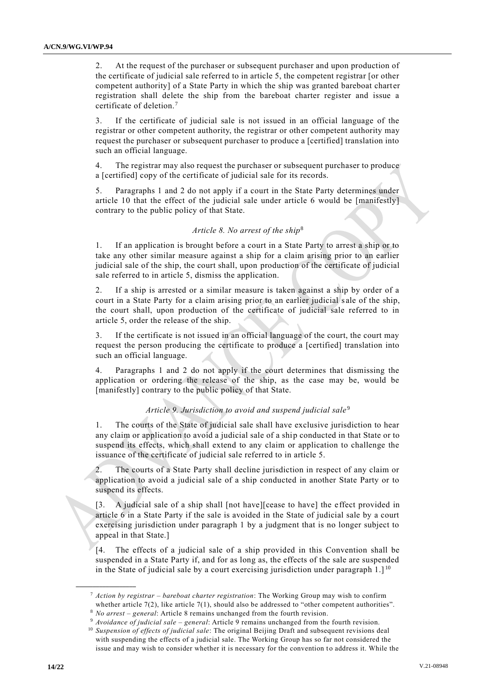2. At the request of the purchaser or subsequent purchaser and upon production of the certificate of judicial sale referred to in article 5, the competent registrar [or other competent authority] of a State Party in which the ship was granted bareboat chart er registration shall delete the ship from the bareboat charter register and issue a certificate of deletion.<sup>7</sup>

3. If the certificate of judicial sale is not issued in an official language of the registrar or other competent authority, the registrar or other competent authority may request the purchaser or subsequent purchaser to produce a [certified] translation into such an official language.

The registrar may also request the purchaser or subsequent purchaser to produce a [certified] copy of the certificate of judicial sale for its records.

5. Paragraphs 1 and 2 do not apply if a court in the State Party determines under article 10 that the effect of the judicial sale under article 6 would be  $[manifest]$ contrary to the public policy of that State.

### *Article 8. No arrest of the ship*<sup>8</sup>

1. If an application is brought before a court in a State Party to arrest a ship or to take any other similar measure against a ship for a claim arising prior to an earlier judicial sale of the ship, the court shall, upon production of the certificate of judicial sale referred to in article 5, dismiss the application.

2. If a ship is arrested or a similar measure is taken against a ship by order of a court in a State Party for a claim arising prior to an earlier judicial s ale of the ship, the court shall, upon production of the certificate of judicial sale referred to in article 5, order the release of the ship.

3. If the certificate is not issued in an official language of the court, the court may request the person producing the certificate to produce a [certified] translation into such an official language.

4. Paragraphs 1 and 2 do not apply if the court determines that dismissing the application or ordering the release of the ship, as the case may be, would be [manifestly] contrary to the public policy of that State.

#### *Article 9. Jurisdiction to avoid and suspend judicial sale*<sup>9</sup>

1. The courts of the State of judicial sale shall have exclusive jurisdiction to hear any claim or application to avoid a judicial sale of a ship conducted in that State or to suspend its effects, which shall extend to any claim or application to challenge the issuance of the certificate of judicial sale referred to in article 5.

2. The courts of a State Party shall decline jurisdiction in respect of any claim or application to avoid a judicial sale of a ship conducted in another State Party or to suspend its effects.

[3. A judicial sale of a ship shall [not have][cease to have] the effect provided in article 6 in a State Party if the sale is avoided in the State of judicial sale by a court exercising jurisdiction under paragraph 1 by a judgment that is no longer subject to appeal in that State.]

[4. The effects of a judicial sale of a ship provided in this Convention shall be suspended in a State Party if, and for as long as, the effects of the sale are suspended in the State of judicial sale by a court exercising jurisdiction under paragraph  $1.1^{10}$ 

<sup>7</sup> *Action by registrar – bareboat charter registration*: The Working Group may wish to confirm whether article  $7(2)$ , like article  $7(1)$ , should also be addressed to "other competent authorities".

<sup>8</sup> *No arrest – general*: Article 8 remains unchanged from the fourth revision.

<sup>9</sup> *Avoidance of judicial sale – general*: Article 9 remains unchanged from the fourth revision.

<sup>&</sup>lt;sup>10</sup> Suspension of effects of judicial sale: The original Beijing Draft and subsequent revisions deal with suspending the effects of a judicial sale. The Working Group has so far not considered the issue and may wish to consider whether it is necessary for the convention to address it. While the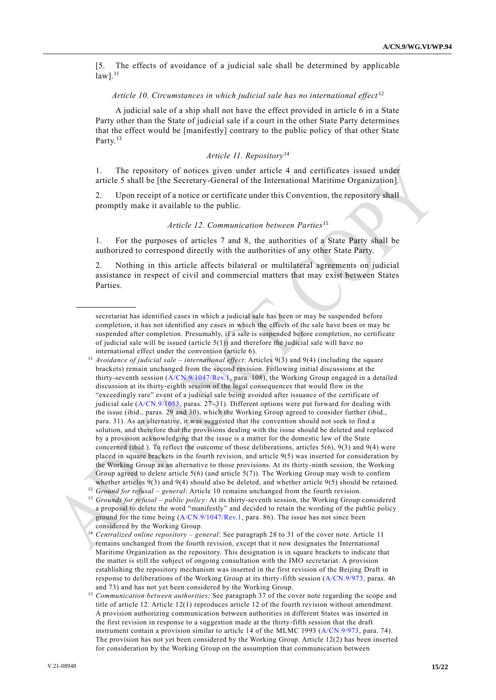[5. The effects of avoidance of a judicial sale shall be determined by applicable  $law$ ]. $^{11}$ 

## *Article 10. Circumstances in which judicial sale has no international effect* <sup>12</sup>

A judicial sale of a ship shall not have the effect provided in article 6 in a State Party other than the State of judicial sale if a court in the other State Party determines that the effect would be [manifestly] contrary to the public policy of that other State Party.<sup>13</sup>

## *Article 11. Repository*<sup>14</sup>

1. The repository of notices given under article 4 and certificates issued under article 5 shall be [the Secretary-General of the International Maritime Organization].

Upon receipt of a notice or certificate under this Convention, the repository shall promptly make it available to the public.

## *Article 12. Communication between Parties*<sup>15</sup>

1. For the purposes of articles 7 and 8, the authorities of a State Party shall be authorized to correspond directly with the authorities of any other State Party.

2. Nothing in this article affects bilateral or multilateral agreements on judicial assistance in respect of civil and commercial matters that may exist between States Parties.

secretariat has identified cases in which a judicial sale has been or may be suspended before completion, it has not identified any cases in which the effects of the sale have been or may be suspended after completion. Presumably, if a sale is suspended before completion, no certificate of judicial sale will be issued (article  $5(1)$ ) and therefore the judicial sale will have no international effect under the convention (article 6).

<sup>11</sup> *Avoidance of judicial sale – international effect*: Articles 9(3) and 9(4) (including the square brackets) remain unchanged from the second revision. Following initial discussions at the thirty-seventh session [\(A/CN.9/1047/Rev.1,](http://undocs.org/A/CN.9/1047/Rev.1) para. 108), the Working Group engaged in a detailed discussion at its thirty-eighth session of the legal consequences that would flow in the "exceedingly rare" event of a judicial sale being avoided after issuance of the certificate of judicial sale [\(A/CN.9/1053,](http://undocs.org/A/CN.9/1053) paras. 27–31). Different options were put forward for dealing with the issue (ibid., paras. 29 and 30), which the Working Group agreed to consider further (ibid., para. 31). As an alternative, it was suggested that the convention should not seek to find a solution, and therefore that the provisions dealing with the issue should be deleted and replaced by a provision acknowledging that the issue is a matter for the domestic law of the State concerned (ibid.). To reflect the outcome of those deliberations, articles  $5(6)$ ,  $9(3)$  and  $9(4)$  were placed in square brackets in the fourth revision, and article 9(5) was inserted for consideration by the Working Group as an alternative to those provisions. At its thirty-ninth session, the Working Group agreed to delete article  $5(6)$  (and article  $5(7)$ ). The Working Group may wish to confirm whether articles 9(3) and 9(4) should also be deleted, and whether article 9(5) should be retained. <sup>12</sup> Ground for refusal – general: Article 10 remains unchanged from the fourth revision.

<sup>13</sup> *Grounds for refusal – public policy*: At its thirty-seventh session, the Working Group considered a proposal to delete the word "manifestly" and decided to retain the wording of the public policy ground for the time being [\(A/CN.9/1047/Rev.1,](http://undocs.org/A/CN.9/1047/Rev.1) para. 86). The issue has not since been considered by the Working Group.

<sup>14</sup> *Centralized online repository – general*: See paragraph 28 to 31 of the cover note. Article 11 remains unchanged from the fourth revision, except that it now designates the International Maritime Organization as the repository. This designation is in square brackets to indicate that the matter is still the subject of ongoing consultation with the IMO secretariat. A provision establishing the repository mechanism was inserted in the first revision of the Beijing Draft in response to deliberations of the Working Group at its thirty-fifth session [\(A/CN.9/973,](http://undocs.org/A/CN.9/973) paras. 46 and 73) and has not yet been considered by the Working Group.

<sup>15</sup> *Communication between authorities*: See paragraph 37 of the cover note regarding the scope and title of article 12. Article 12(1) reproduces article 12 of the fourth revision without amendment. A provision authorizing communication between authorities in different States was inserted in the first revision in response to a suggestion made at the thirty-fifth session that the draft instrument contain a provision similar to article 14 of the MLMC 1993 [\(A/CN.9/973,](http://undocs.org/A/CN.9/973) para. 74). The provision has not yet been considered by the Working Group. Article 12(2) has been inserted for consideration by the Working Group on the assumption that communication between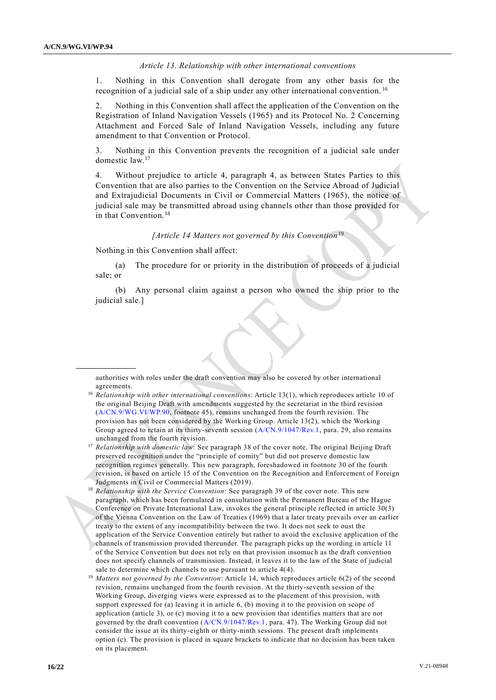### *Article 13. Relationship with other international conventions*

1. Nothing in this Convention shall derogate from any other basis for the recognition of a judicial sale of a ship under any other international convention. <sup>16</sup>

2. Nothing in this Convention shall affect the application of the Convention on the Registration of Inland Navigation Vessels (1965) and its Protocol No. 2 Concerning Attachment and Forced Sale of Inland Navigation Vessels, including any future amendment to that Convention or Protocol.

3. Nothing in this Convention prevents the recognition of a judicial sale under domestic law.<sup>17</sup>

4. Without prejudice to article 4, paragraph 4, as between States Parties to this Convention that are also parties to the Convention on the Service Abroad of Judicial and Extrajudicial Documents in Civil or Commercial Matters (1965), the notice of judicial sale may be transmitted abroad using channels other than those provided for in that Convention.<sup>18</sup>

#### *[Article 14 Matters not governed by this Convention*<sup>19</sup>

Nothing in this Convention shall affect:

**\_\_\_\_\_\_\_\_\_\_\_\_\_\_\_\_\_\_**

(a) The procedure for or priority in the distribution of proceeds of a judicial sale; or

(b) Any personal claim against a person who owned the ship prior to the judicial sale.]

authorities with roles under the draft convention may also be covered by ot her international agreements.

<sup>16</sup> *Relationship with other international conventions*: Article 13(1), which reproduces article 10 of the original Beijing Draft with amendments suggested by the secretariat in the third revision [\(A/CN.9/WG.VI/WP.90,](http://undocs.org/A/CN.9/WG.VI/WP.90) footnote 45), remains unchanged from the fourth revision. The provision has not been considered by the Working Group. Article 13(2), which the Working Group agreed to retain at its thirty-seventh session [\(A/CN.9/1047/Rev.1,](http://undocs.org/A/CN.9/1047/Rev.1) para. 29, also remains unchanged from the fourth revision.

<sup>&</sup>lt;sup>17</sup> Relationship with domestic law: See paragraph 38 of the cover note. The original Beijing Draft preserved recognition under the "principle of comity" but did not preserve domestic law recognition regimes generally. This new paragraph, foreshadowed in footnote 30 of the fourth revision, is based on article 15 of the Convention on the Recognition and Enforcement of Foreign Judgments in Civil or Commercial Matters (2019).

<sup>18</sup> *Relationship with the Service Convention*: See paragraph 39 of the cover note. This new paragraph, which has been formulated in consultation with the Permanent Bureau of the Hague Conference on Private International Law, invokes the general principle reflected in article 30(3) of the Vienna Convention on the Law of Treaties (1969) that a later treaty prevails over an earlier treaty to the extent of any incompatibility between the two. It does not seek to oust the application of the Service Convention entirely but rather to avoid the exclusive application of the channels of transmission provided thereunder. The paragraph picks up the wording in article 11 of the Service Convention but does not rely on that provision insomuch as the draft convention does not specify channels of transmission. Instead, it leaves it to the law of the State of judicial sale to determine which channels to use pursuant to article 4(4).

<sup>&</sup>lt;sup>19</sup> Matters not governed by the Convention: Article 14, which reproduces article 6(2) of the second revision, remains unchanged from the fourth revision. At the thirty-seventh session of the Working Group, diverging views were expressed as to the placement of this provision, with support expressed for (a) leaving it in article 6, (b) moving it to the provision on scope of application (article 3), or (c) moving it to a new provision that identifies matters that are not governed by the draft convention [\(A/CN.9/1047/Rev.1,](http://undocs.org/A/CN.9/1047/Rev.1) para. 47). The Working Group did not consider the issue at its thirty-eighth or thirty-ninth sessions. The present draft implements option (c). The provision is placed in square brackets to indicate that no decision has been taken on its placement.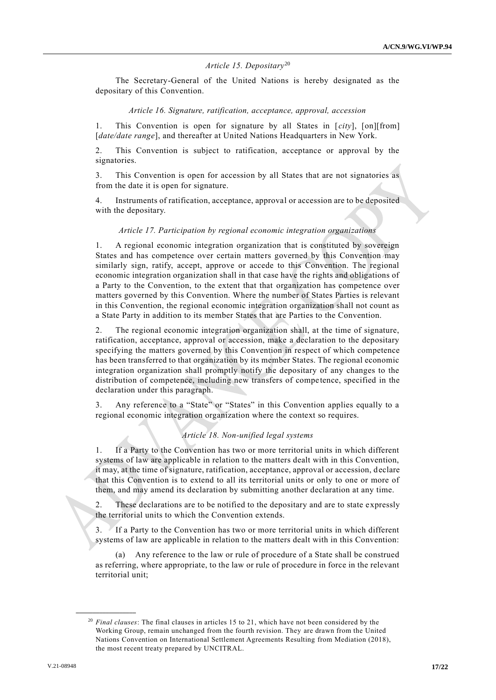## *Article 15. Depositary*<sup>20</sup>

The Secretary-General of the United Nations is hereby designated as the depositary of this Convention.

#### *Article 16. Signature, ratification, acceptance, approval, accession*

1. This Convention is open for signature by all States in [*city*], [on][from] [*date/date range*], and thereafter at United Nations Headquarters in New York.

2. This Convention is subject to ratification, acceptance or approval by the signatories.

3. This Convention is open for accession by all States that are not signatories as from the date it is open for signature.

4. Instruments of ratification, acceptance, approval or accession are to be deposited with the depositary.

#### *Article 17. Participation by regional economic integration organizations*

1. A regional economic integration organization that is constituted by sovereign States and has competence over certain matters governed by this Convention may similarly sign, ratify, accept, approve or accede to this Convention. The regional economic integration organization shall in that case have the rights and obligations of a Party to the Convention, to the extent that that organization has competence over matters governed by this Convention. Where the number of States Parties is relevant in this Convention, the regional economic integration organization shall not count as a State Party in addition to its member States that are Parties to the Convention.

2. The regional economic integration organization shall, at the time of signature, ratification, acceptance, approval or accession, make a declaration to the depositary specifying the matters governed by this Convention in respect of which competence has been transferred to that organization by its member States. The regional economic integration organization shall promptly notify the depositary of any changes to the distribution of competence, including new transfers of compe tence, specified in the declaration under this paragraph.

3. Any reference to a "State" or "States" in this Convention applies equally to a regional economic integration organization where the context so requires.

### *Article 18. Non-unified legal systems*

1. If a Party to the Convention has two or more territorial units in which different systems of law are applicable in relation to the matters dealt with in this Convention, it may, at the time of signature, ratification, acceptance, approval or accession, declare that this Convention is to extend to all its territorial units or only to one or more of them, and may amend its declaration by submitting another declaration at any time.

2. These declarations are to be notified to the depositary and are to state expressly the territorial units to which the Convention extends.

If a Party to the Convention has two or more territorial units in which different systems of law are applicable in relation to the matters dealt with in this Convention:

(a) Any reference to the law or rule of procedure of a State shall be construed as referring, where appropriate, to the law or rule of procedure in force in the relevant territorial unit;

<sup>20</sup> *Final clauses*: The final clauses in articles 15 to 21, which have not been considered by the Working Group, remain unchanged from the fourth revision. They are drawn from the United Nations Convention on International Settlement Agreements Resulting from Mediation (2018), the most recent treaty prepared by UNCITRAL.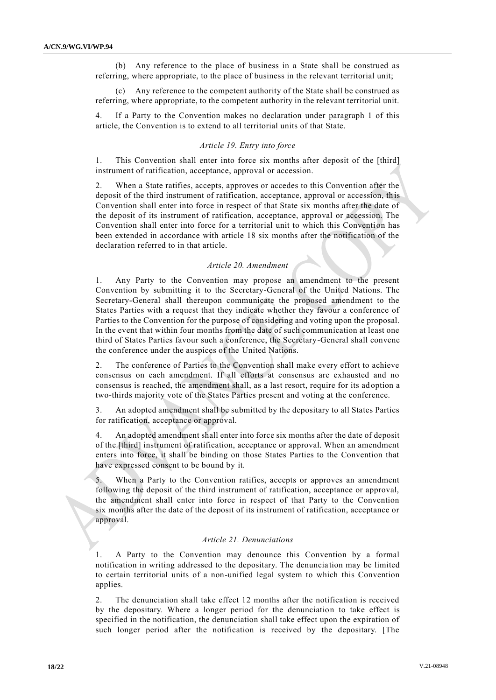(b) Any reference to the place of business in a State shall be construed as referring, where appropriate, to the place of business in the relevant territorial unit;

Any reference to the competent authority of the State shall be construed as referring, where appropriate, to the competent authority in the relevant territorial unit.

4. If a Party to the Convention makes no declaration under paragraph 1 of this article, the Convention is to extend to all territorial units of that State.

### *Article 19. Entry into force*

1. This Convention shall enter into force six months after deposit of the [third] instrument of ratification, acceptance, approval or accession.

When a State ratifies, accepts, approves or accedes to this Convention after the deposit of the third instrument of ratification, acceptance, approval or accession, this Convention shall enter into force in respect of that State six months after the date of the deposit of its instrument of ratification, acceptance, approval or accession. The Convention shall enter into force for a territorial unit to which this Convention has been extended in accordance with article 18 six months after the notification of the declaration referred to in that article.

#### *Article 20. Amendment*

1. Any Party to the Convention may propose an amendment to the present Convention by submitting it to the Secretary-General of the United Nations. The Secretary-General shall thereupon communicate the proposed amendment to the States Parties with a request that they indicate whether they favour a conference of Parties to the Convention for the purpose of considering and voting upon the proposal. In the event that within four months from the date of such communication at least one third of States Parties favour such a conference, the Secretary-General shall convene the conference under the auspices of the United Nations.

2. The conference of Parties to the Convention shall make every effort to achieve consensus on each amendment. If all efforts at consensus are exhausted and no consensus is reached, the amendment shall, as a last resort, require for its ad option a two-thirds majority vote of the States Parties present and voting at the conference.

3. An adopted amendment shall be submitted by the depositary to all States Parties for ratification, acceptance or approval.

4. An adopted amendment shall enter into force six months after the date of deposit of the [third] instrument of ratification, acceptance or approval. When an amendment enters into force, it shall be binding on those States Parties to the Convention that have expressed consent to be bound by it.

When a Party to the Convention ratifies, accepts or approves an amendment following the deposit of the third instrument of ratification, acceptance or approval, the amendment shall enter into force in respect of that Party to the Convention six months after the date of the deposit of its instrument of ratification, acceptance or approval.

#### *Article 21. Denunciations*

1. A Party to the Convention may denounce this Convention by a formal notification in writing addressed to the depositary. The denuncia tion may be limited to certain territorial units of a non-unified legal system to which this Convention applies.

2. The denunciation shall take effect 12 months after the notification is received by the depositary. Where a longer period for the denunciation to take effect is specified in the notification, the denunciation shall take effect upon the expiration of such longer period after the notification is received by the depositary. [The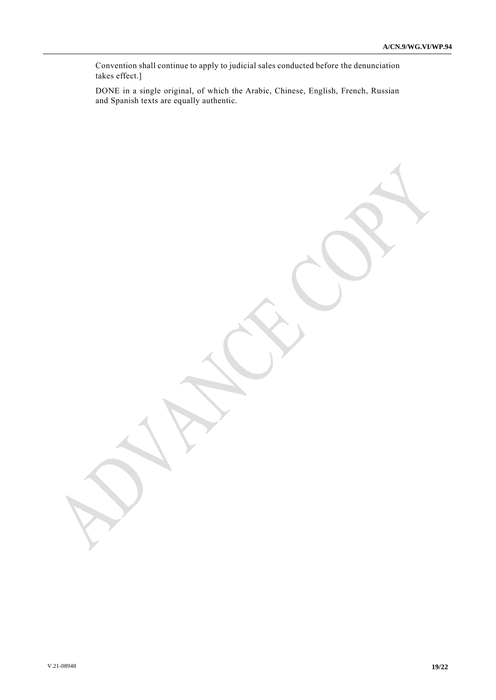Convention shall continue to apply to judicial sales conducted before the denunciation takes effect.]

DONE in a single original, of which the Arabic, Chinese, English, French, Russian and Spanish texts are equally authentic.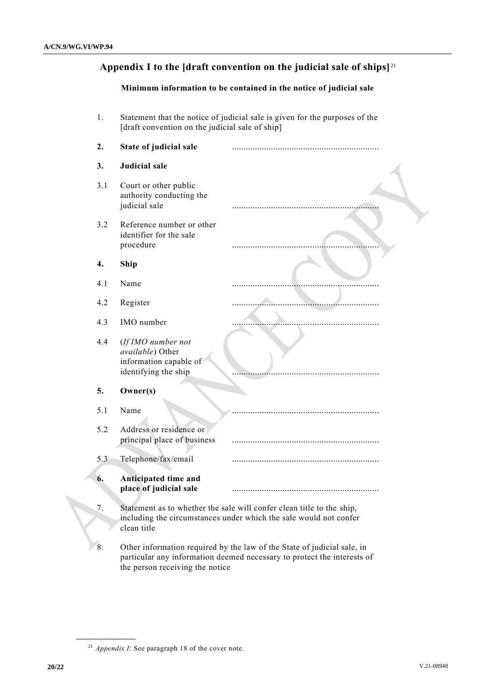# **Appendix I to the [draft convention on the judicial sale of ships]** <sup>21</sup>

## **Minimum information to be contained in the notice of judicial sale**

1. Statement that the notice of judicial sale is given for the purposes of the [draft convention on the judicial sale of ship]

| 2.  | State of judicial sale                                                                   |                                                                                                                                                    |
|-----|------------------------------------------------------------------------------------------|----------------------------------------------------------------------------------------------------------------------------------------------------|
| 3.  | Judicial sale                                                                            |                                                                                                                                                    |
| 3.1 | Court or other public<br>authority conducting the<br>judicial sale                       |                                                                                                                                                    |
| 3.2 | Reference number or other<br>identifier for the sale<br>procedure                        |                                                                                                                                                    |
| 4.  | Ship                                                                                     |                                                                                                                                                    |
| 4.1 | Name                                                                                     |                                                                                                                                                    |
| 4.2 | Register                                                                                 |                                                                                                                                                    |
| 4.3 | IMO number                                                                               |                                                                                                                                                    |
| 4.4 | (If IMO number not<br>available) Other<br>information capable of<br>identifying the ship |                                                                                                                                                    |
| 5.  | Owner(s)                                                                                 |                                                                                                                                                    |
| 5.1 | Name                                                                                     |                                                                                                                                                    |
| 5.2 | Address or residence or<br>principal place of business                                   |                                                                                                                                                    |
| 5.3 | Telephone/fax/email                                                                      |                                                                                                                                                    |
| 6.  | Anticipated time and<br>place of judicial sale                                           |                                                                                                                                                    |
| 7.  | clean title                                                                              | Statement as to whether the sale will confer clean title to the ship,<br>including the circumstances under which the sale would not confer         |
| 8.  |                                                                                          | Other information required by the law of the State of judicial sale, in<br>particular any information deemed necessary to protect the interests of |

the person receiving the notice

<sup>21</sup> *Appendix I*: See paragraph 18 of the cover note.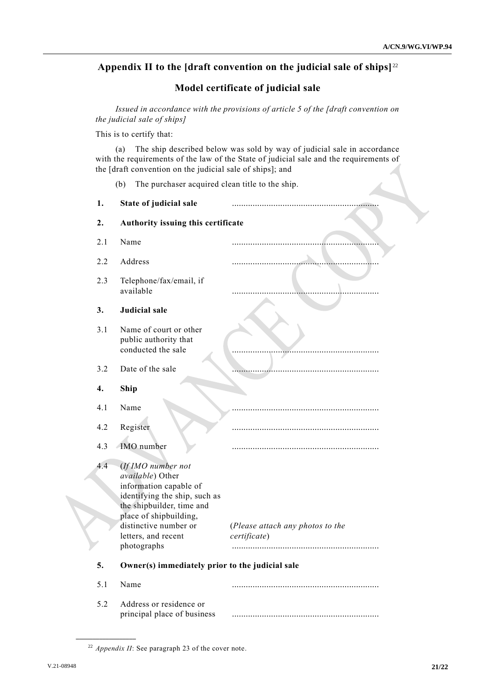# **Appendix II to the [draft convention on the judicial sale of ships]** <sup>22</sup>

# **Model certificate of judicial sale**

*Issued in accordance with the provisions of article 5 of the [draft convention on the judicial sale of ships]*

This is to certify that:

(a) The ship described below was sold by way of judicial sale in accordance with the requirements of the law of the State of judicial sale and the requirements of the [draft convention on the judicial sale of ships]; and

(b) The purchaser acquired clean title to the ship.

| 1.  | State of judicial sale                                                                                                                                                                                   |                                                  |  |
|-----|----------------------------------------------------------------------------------------------------------------------------------------------------------------------------------------------------------|--------------------------------------------------|--|
| 2.  | Authority issuing this certificate                                                                                                                                                                       |                                                  |  |
| 2.1 | Name                                                                                                                                                                                                     |                                                  |  |
| 2.2 | Address                                                                                                                                                                                                  |                                                  |  |
| 2.3 | Telephone/fax/email, if<br>available                                                                                                                                                                     |                                                  |  |
| 3.  | <b>Judicial sale</b>                                                                                                                                                                                     |                                                  |  |
| 3.1 | Name of court or other<br>public authority that<br>conducted the sale                                                                                                                                    |                                                  |  |
| 3.2 | Date of the sale                                                                                                                                                                                         |                                                  |  |
| 4.  | Ship                                                                                                                                                                                                     |                                                  |  |
| 4.1 | Name                                                                                                                                                                                                     |                                                  |  |
| 4.2 | Register                                                                                                                                                                                                 |                                                  |  |
| 4.3 | IMO number                                                                                                                                                                                               |                                                  |  |
| 4.4 | (If IMO number not<br>available) Other<br>information capable of<br>identifying the ship, such as<br>the shipbuilder, time and<br>place of shipbuilding,<br>distinctive number or<br>letters, and recent | (Please attach any photos to the<br>certificate) |  |
|     | photographs                                                                                                                                                                                              |                                                  |  |
| 5.  | Owner(s) immediately prior to the judicial sale                                                                                                                                                          |                                                  |  |
| 5.1 | Name                                                                                                                                                                                                     |                                                  |  |
| 5.2 | Address or residence or<br>principal place of business                                                                                                                                                   |                                                  |  |

<sup>22</sup> *Appendix II*: See paragraph 23 of the cover note.